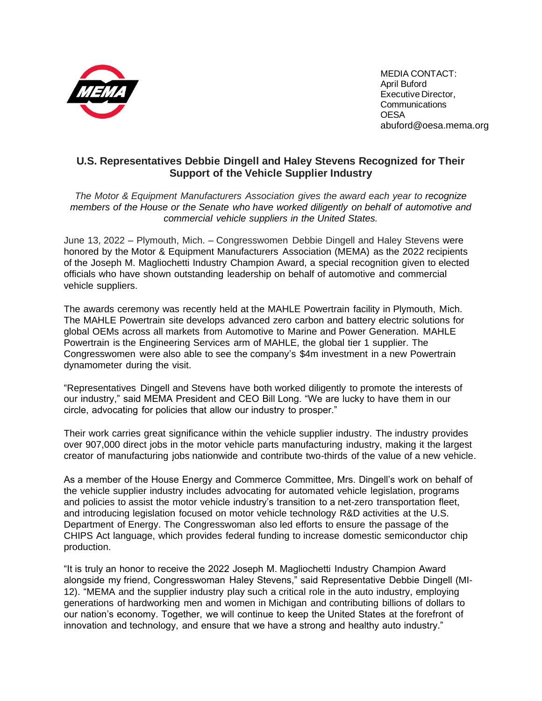

MEDIA CONTACT: April Buford Executive Director, **Communications OESA** [abuford@oesa.mema.org](mailto:abuford@oesa.mema.org)

## **U.S. Representatives Debbie Dingell and Haley Stevens Recognized for Their Support of the Vehicle Supplier Industry**

*The Motor & Equipment Manufacturers Association gives the award each year to recognize members of the House or the Senate who have worked diligently on behalf of automotive and commercial vehicle suppliers in the United States.*

June 13, 2022 – Plymouth, Mich. – Congresswomen Debbie Dingell and Haley Stevens were honored by the Motor & Equipment Manufacturers Association (MEMA) as the 2022 recipients of the Joseph M. Magliochetti Industry Champion Award, a special recognition given to elected officials who have shown outstanding leadership on behalf of automotive and commercial vehicle suppliers.

The awards ceremony was recently held at the MAHLE Powertrain facility in Plymouth, Mich. The MAHLE Powertrain site develops advanced zero carbon and battery electric solutions for global OEMs across all markets from Automotive to Marine and Power Generation. MAHLE Powertrain is the Engineering Services arm of MAHLE, the global tier 1 supplier. The Congresswomen were also able to see the company's \$4m investment in a new Powertrain dynamometer during the visit.

"Representatives Dingell and Stevens have both worked diligently to promote the interests of our industry," said MEMA President and CEO Bill Long. "We are lucky to have them in our circle, advocating for policies that allow our industry to prosper."

Their work carries great significance within the vehicle supplier industry. The industry provides over 907,000 direct jobs in the motor vehicle parts manufacturing industry, making it the largest creator of manufacturing jobs nationwide and contribute two-thirds of the value of a new vehicle.

As a member of the House Energy and Commerce Committee, Mrs. Dingell's work on behalf of the vehicle supplier industry includes advocating for automated vehicle legislation, programs and policies to assist the motor vehicle industry's transition to a net-zero transportation fleet, and introducing legislation focused on motor vehicle technology R&D activities at the U.S. Department of Energy. The Congresswoman also led efforts to ensure the passage of the CHIPS Act language, which provides federal funding to increase domestic semiconductor chip production.

"It is truly an honor to receive the 2022 Joseph M. Magliochetti Industry Champion Award alongside my friend, Congresswoman Haley Stevens," said Representative Debbie Dingell (MI-12). "MEMA and the supplier industry play such a critical role in the auto industry, employing generations of hardworking men and women in Michigan and contributing billions of dollars to our nation's economy. Together, we will continue to keep the United States at the forefront of innovation and technology, and ensure that we have a strong and healthy auto industry."